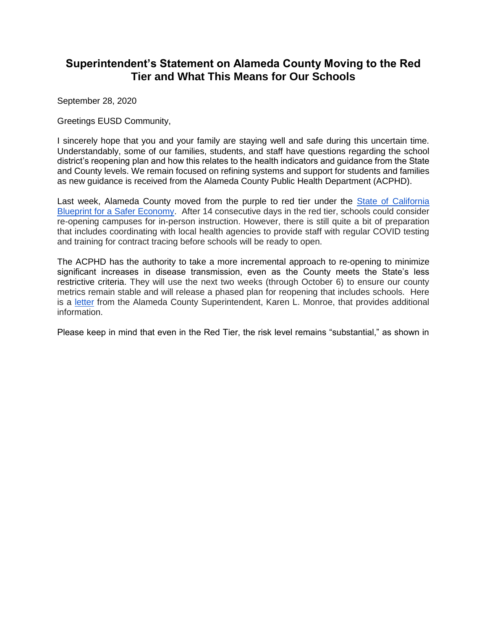## **Superintendent's Statement on Alameda County Moving to the Red Tier and What This Means for Our Schools**

September 28, 2020

Greetings EUSD Community,

I sincerely hope that you and your family are staying well and safe during this uncertain time. Understandably, some of our families, students, and staff have questions regarding the school district's reopening plan and how this relates to the health indicators and guidance from the State and County levels. We remain focused on refining systems and support for students and families as new guidance is received from the Alameda County Public Health Department (ACPHD).

Last week, Alameda County moved from the purple to red tier under the [State of California](https://covid19.ca.gov/safer-economy/#reopening-data)  [Blueprint for a Safer Economy.](https://covid19.ca.gov/safer-economy/#reopening-data) After 14 consecutive days in the red tier, schools could consider re-opening campuses for in-person instruction. However, there is still quite a bit of preparation that includes coordinating with local health agencies to provide staff with regular COVID testing and training for contract tracing before schools will be ready to open.

The ACPHD has the authority to take a more incremental approach to re-opening to minimize significant increases in disease transmission, even as the County meets the State's less restrictive criteria. They will use the next two weeks (through October 6) to ensure our county metrics remain stable and will release a phased plan for reopening that includes schools. Here is [a](https://drive.google.com/file/d/1Dvwqh4Awb3owC-fsUUl7ByQUUcBT8rxA/view?usp=sharing) [letter](https://drive.google.com/file/d/1Dvwqh4Awb3owC-fsUUl7ByQUUcBT8rxA/view?usp=sharing) from the Alameda County Superintendent, Karen L. Monroe, that provides additional information.

Please keep in mind that even in the Red Tier, the risk level remains "substantial," as shown in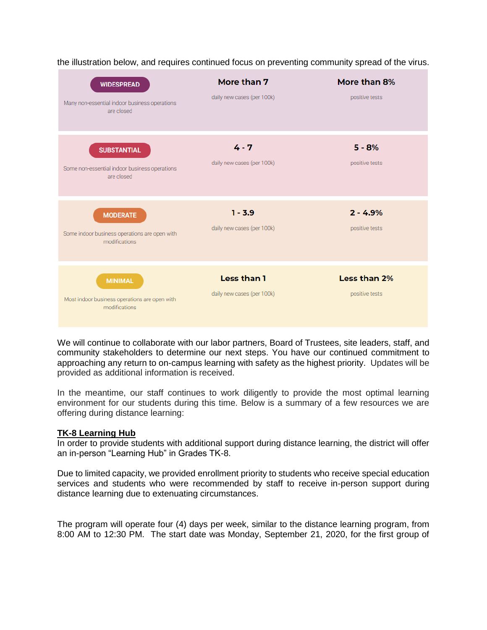| <b>WIDESPREAD</b><br>Many non-essential indoor business operations<br>are closed  | More than 7<br>daily new cases (per 100k) | More than 8%<br>positive tests |
|-----------------------------------------------------------------------------------|-------------------------------------------|--------------------------------|
| <b>SUBSTANTIAL</b><br>Some non-essential indoor business operations<br>are closed | $4 - 7$<br>daily new cases (per 100k)     | $5 - 8%$<br>positive tests     |
| <b>MODERATE</b><br>Some indoor business operations are open with<br>modifications | $1 - 3.9$<br>daily new cases (per 100k)   | $2 - 4.9%$<br>positive tests   |
| <b>MINIMAL</b><br>Most indoor business operations are open with<br>modifications  | Less than 1<br>daily new cases (per 100k) | Less than 2%<br>positive tests |

the illustration below, and requires continued focus on preventing community spread of the virus.

We will continue to collaborate with our labor partners, Board of Trustees, site leaders, staff, and community stakeholders to determine our next steps. You have our continued commitment to approaching any return to on-campus learning with safety as the highest priority. Updates will be provided as additional information is received.

In the meantime, our staff continues to work diligently to provide the most optimal learning environment for our students during this time. Below is a summary of a few resources we are offering during distance learning:

## **TK-8 Learning Hub**

In order to provide students with additional support during distance learning, the district will offer an in-person "Learning Hub" in Grades TK-8.

Due to limited capacity, we provided enrollment priority to students who receive special education services and students who were recommended by staff to receive in-person support during distance learning due to extenuating circumstances.

The program will operate four (4) days per week, similar to the distance learning program, from 8:00 AM to 12:30 PM. The start date was Monday, September 21, 2020, for the first group of